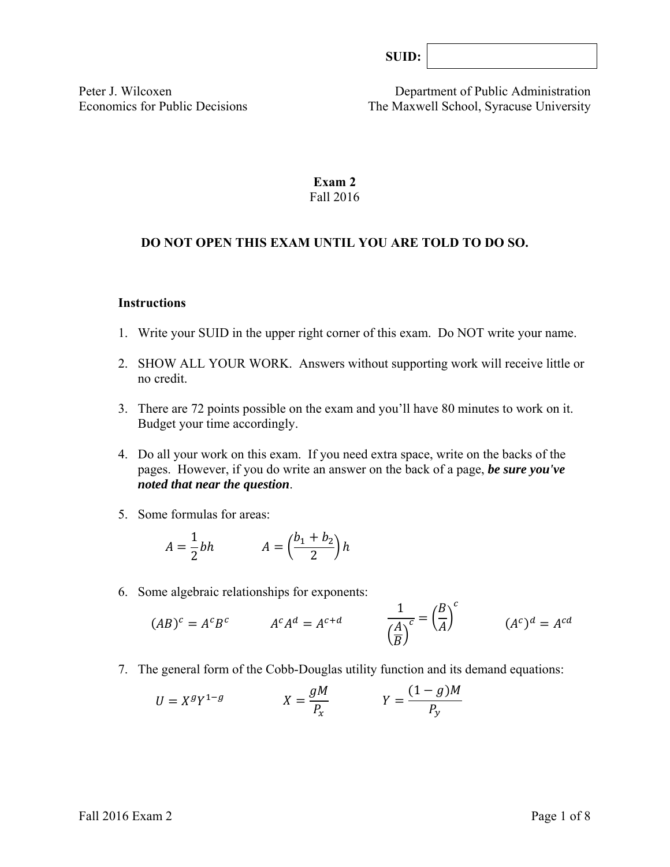| SUB: |  |
|------|--|
|------|--|

Peter J. Wilcoxen Department of Public Administration Economics for Public Decisions The Maxwell School, Syracuse University

### **Exam 2**  Fall 2016

#### **DO NOT OPEN THIS EXAM UNTIL YOU ARE TOLD TO DO SO.**

#### **Instructions**

- 1. Write your SUID in the upper right corner of this exam. Do NOT write your name.
- 2. SHOW ALL YOUR WORK. Answers without supporting work will receive little or no credit.
- 3. There are 72 points possible on the exam and you'll have 80 minutes to work on it. Budget your time accordingly.
- 4. Do all your work on this exam. If you need extra space, write on the backs of the pages. However, if you do write an answer on the back of a page, *be sure you've noted that near the question*.
- 5. Some formulas for areas:

$$
A = \frac{1}{2}bh \qquad A = \left(\frac{b_1 + b_2}{2}\right)h
$$

6. Some algebraic relationships for exponents:

$$
(AB)^c = A^c B^c \qquad \qquad A^c A^d = A^{c+d} \qquad \qquad \frac{1}{\left(\frac{A}{B}\right)^c} = \left(\frac{B}{A}\right)^c \qquad \qquad (A^c)^d = A^{cd}
$$

7. The general form of the Cobb-Douglas utility function and its demand equations:

$$
U = X^g Y^{1-g} \qquad \qquad X = \frac{gM}{P_x} \qquad \qquad Y = \frac{(1-g)M}{P_y}
$$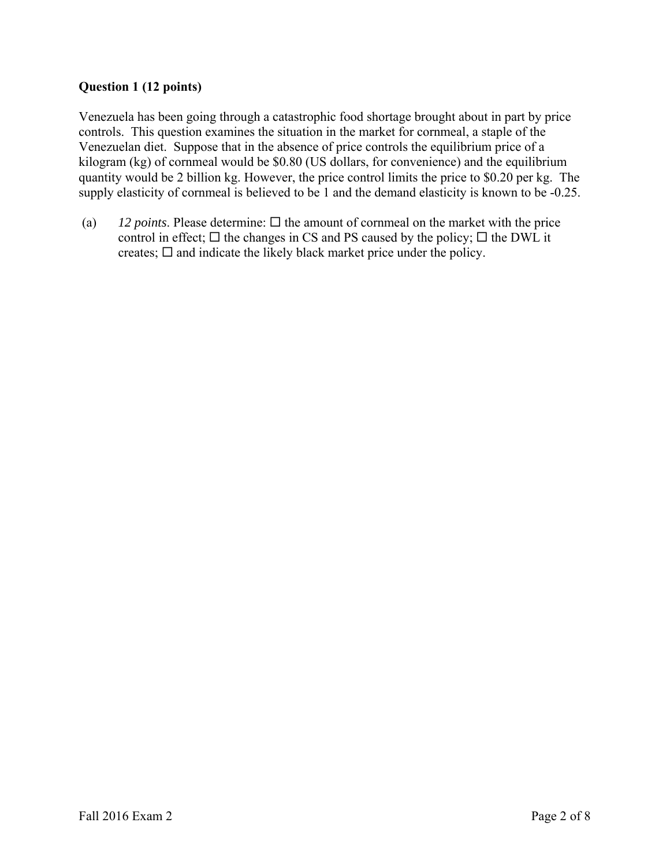# **Question 1 (12 points)**

Venezuela has been going through a catastrophic food shortage brought about in part by price controls. This question examines the situation in the market for cornmeal, a staple of the Venezuelan diet. Suppose that in the absence of price controls the equilibrium price of a kilogram (kg) of cornmeal would be \$0.80 (US dollars, for convenience) and the equilibrium quantity would be 2 billion kg. However, the price control limits the price to \$0.20 per kg. The supply elasticity of cornmeal is believed to be 1 and the demand elasticity is known to be -0.25.

(a)  $12$  *points*. Please determine:  $\Box$  the amount of cornmeal on the market with the price control in effect;  $\Box$  the changes in CS and PS caused by the policy;  $\Box$  the DWL it creates;  $\square$  and indicate the likely black market price under the policy.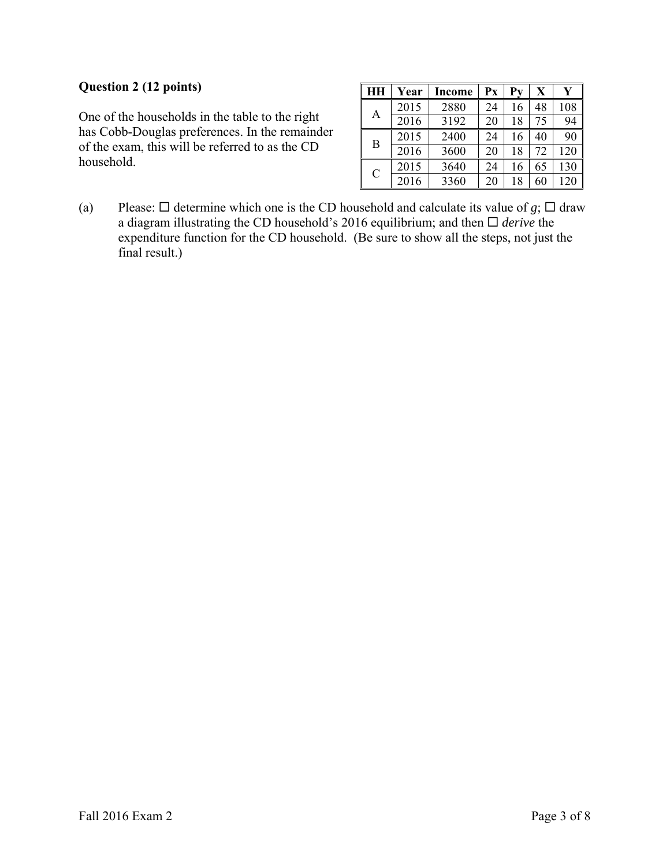# **Question 2 (12 points)**

One of the households in the table to the right has Cobb-Douglas preferences. In the remainder of the exam, this will be referred to as the CD household.

| HH            | Year | Income | Px | Pv | $\overline{\textbf{X}}$ |     |
|---------------|------|--------|----|----|-------------------------|-----|
| А             | 2015 | 2880   | 24 | 16 | 48                      | 108 |
|               | 2016 | 3192   | 20 | 18 | 75                      | 94  |
| B             | 2015 | 2400   | 24 | 16 | 40                      | 90  |
|               | 2016 | 3600   | 20 | 18 | 72                      | 120 |
| $\mathcal{C}$ | 2015 | 3640   | 24 | 16 | 65                      | 130 |
|               | 2016 | 3360   | 20 | 18 | 60                      | 120 |

(a) Please:  $\Box$  determine which one is the CD household and calculate its value of *g*;  $\Box$  draw a diagram illustrating the CD household's 2016 equilibrium; and then  $\Box$  *derive* the expenditure function for the CD household. (Be sure to show all the steps, not just the final result.)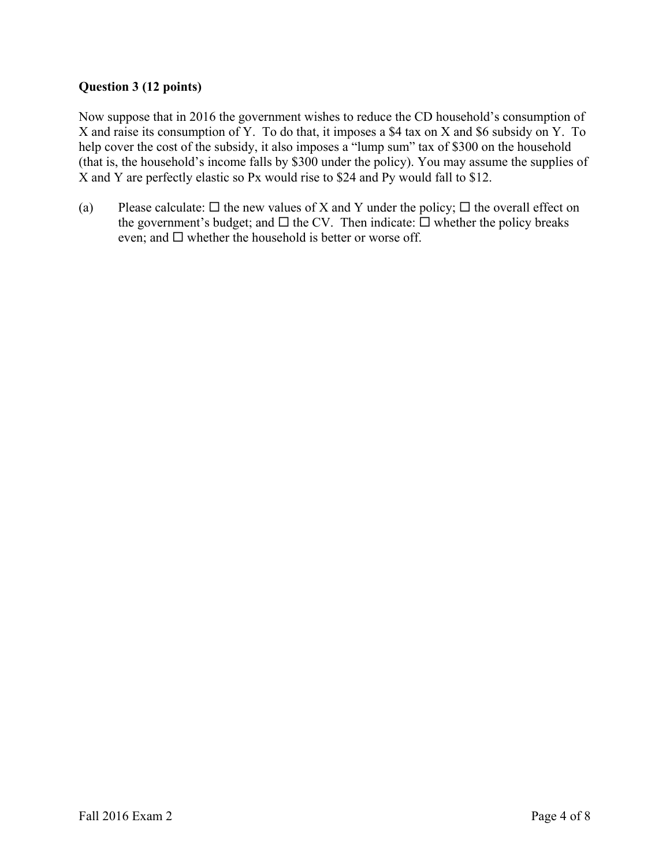# **Question 3 (12 points)**

Now suppose that in 2016 the government wishes to reduce the CD household's consumption of X and raise its consumption of Y. To do that, it imposes a \$4 tax on X and \$6 subsidy on Y. To help cover the cost of the subsidy, it also imposes a "lump sum" tax of \$300 on the household (that is, the household's income falls by \$300 under the policy). You may assume the supplies of X and Y are perfectly elastic so Px would rise to \$24 and Py would fall to \$12.

(a) Please calculate:  $\Box$  the new values of X and Y under the policy;  $\Box$  the overall effect on the government's budget; and  $\Box$  the CV. Then indicate:  $\Box$  whether the policy breaks even; and  $\square$  whether the household is better or worse off.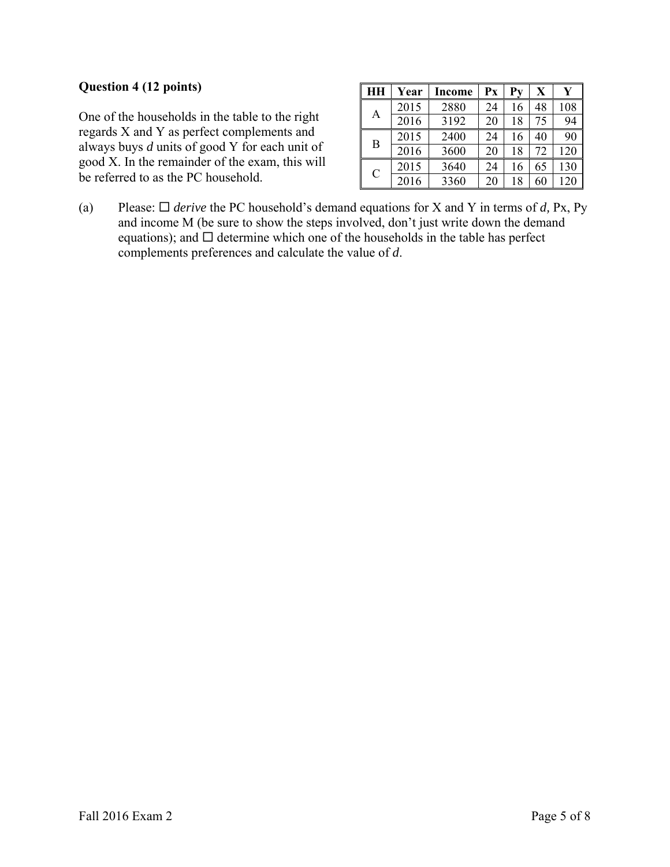### **Question 4 (12 points)**

One of the households in the table to the right regards X and Y as perfect complements and always buys *d* units of good Y for each unit of good X. In the remainder of the exam, this will be referred to as the PC household.

|               | Year | Income | Рx | Pv | X  |     |
|---------------|------|--------|----|----|----|-----|
| А             | 2015 | 2880   | 24 | 16 | 48 | 108 |
|               | 2016 | 3192   | 20 | 18 | 75 | 94  |
| B             | 2015 | 2400   | 24 | 16 | 40 | 90  |
|               | 2016 | 3600   | 20 | 18 | 72 | 120 |
| $\mathcal{C}$ | 2015 | 3640   | 24 | 16 | 65 | 130 |
|               | 2016 | 3360   | 20 | 18 | 60 | 120 |

(a) Please:  $\Box$  *derive* the PC household's demand equations for X and Y in terms of *d*, Px, Py and income M (be sure to show the steps involved, don't just write down the demand equations); and  $\Box$  determine which one of the households in the table has perfect complements preferences and calculate the value of *d*.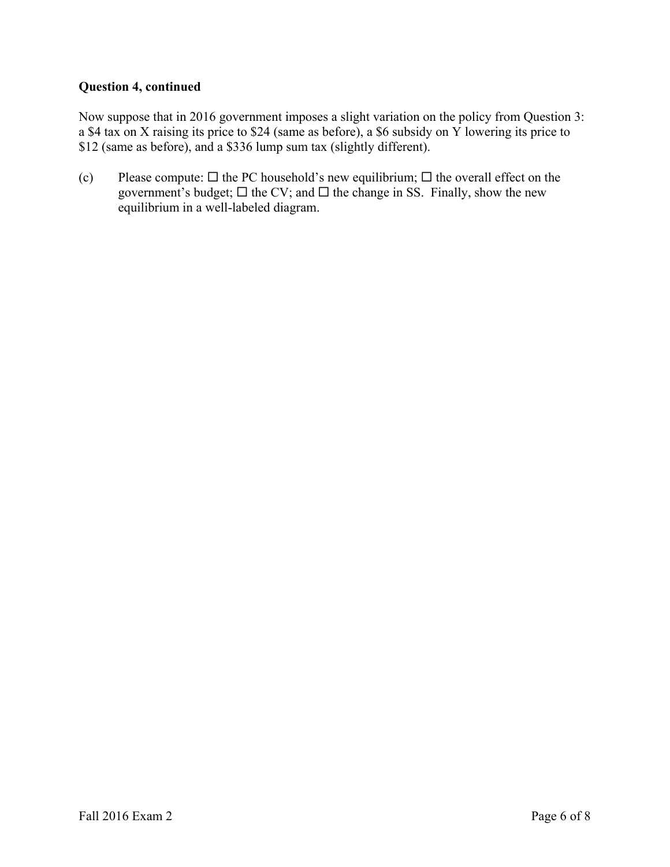### **Question 4, continued**

Now suppose that in 2016 government imposes a slight variation on the policy from Question 3: a \$4 tax on X raising its price to \$24 (same as before), a \$6 subsidy on Y lowering its price to \$12 (same as before), and a \$336 lump sum tax (slightly different).

(c) Please compute:  $\Box$  the PC household's new equilibrium;  $\Box$  the overall effect on the government's budget;  $\Box$  the CV; and  $\Box$  the change in SS. Finally, show the new equilibrium in a well-labeled diagram.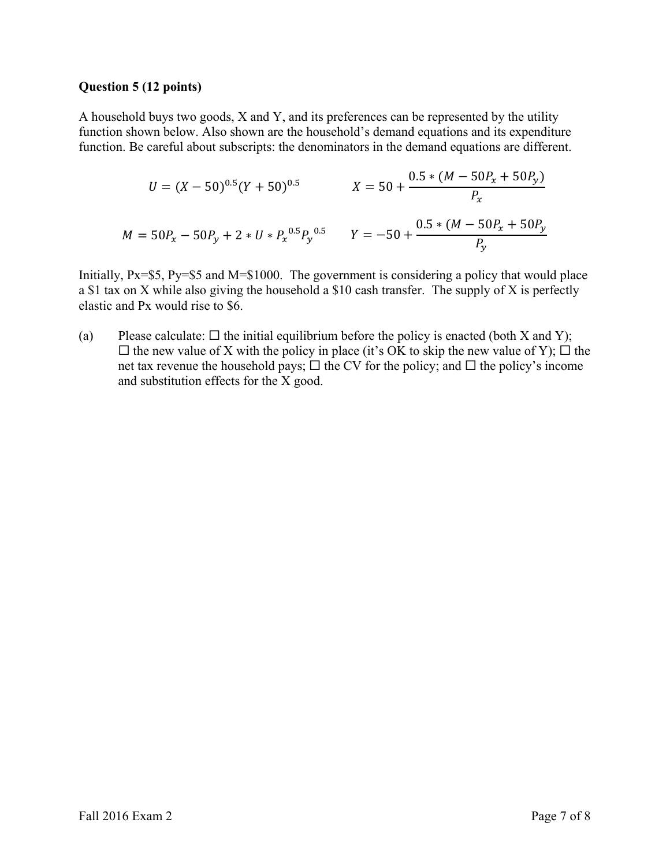#### **Question 5 (12 points)**

A household buys two goods, X and Y, and its preferences can be represented by the utility function shown below. Also shown are the household's demand equations and its expenditure function. Be careful about subscripts: the denominators in the demand equations are different.

$$
U = (X - 50)^{0.5} (Y + 50)^{0.5}
$$
  
\n
$$
X = 50 + \frac{0.5 * (M - 50P_x + 50P_y)}{P_x}
$$
  
\n
$$
M = 50P_x - 50P_y + 2 * U * P_x^{0.5}P_y^{0.5}
$$
  
\n
$$
Y = -50 + \frac{0.5 * (M - 50P_x + 50P_y)}{P_y}
$$

Initially, Px=\$5, Py=\$5 and M=\$1000. The government is considering a policy that would place a \$1 tax on X while also giving the household a \$10 cash transfer. The supply of X is perfectly elastic and Px would rise to \$6.

(a) Please calculate:  $\Box$  the initial equilibrium before the policy is enacted (both X and Y);  $\Box$  the new value of X with the policy in place (it's OK to skip the new value of Y);  $\Box$  the net tax revenue the household pays;  $\Box$  the CV for the policy; and  $\Box$  the policy's income and substitution effects for the X good.